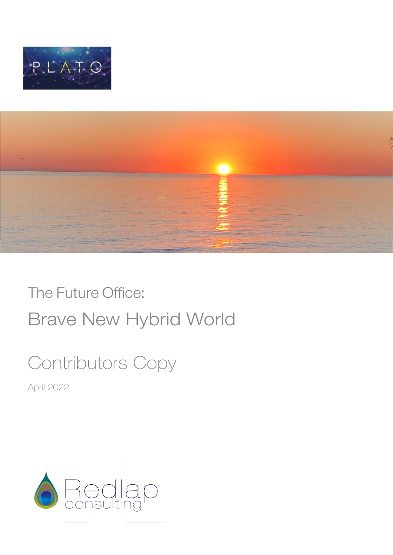



# The Future Office: Brave New Hybrid World

# Contributors Copy

April 2022

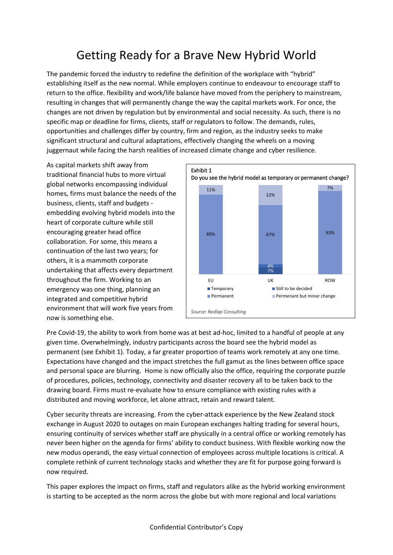# Getting Ready for a Brave New Hybrid World

The pandemic forced the industry to redefine the definition of the workplace with "hybrid" establishing itself as the new normal. While employers continue to endeavour to encourage staff to return to the office. flexibility and work/life balance have moved from the periphery to mainstream, resulting in changes that will permanently change the way the capital markets work. For once, the changes are not driven by regulation but by environmental and social necessity. As such, there is no specific map or deadline for firms, clients, staff or regulators to follow. The demands, rules, opportunities and challenges differ by country, firm and region, as the industry seeks to make significant structural and cultural adaptations, effectively changing the wheels on a moving juggernaut while facing the harsh realities of increased climate change and cyber resilience.

As capital markets shift away from traditional financial hubs to more virtual global networks encompassing individual homes, firms must balance the needs of the business, clients, staff and budgets embedding evolving hybrid models into the heart of corporate culture while still encouraging greater head office collaboration. For some, this means a continuation of the last two years; for others, it is a mammoth corporate undertaking that affects every department throughout the firm. Working to an emergency was one thing, planning an integrated and competitive hybrid environment that will work five years from now is something else.



Pre Covid-19, the ability to work from home was at best ad-hoc, limited to a handful of people at any given time. Overwhelmingly, industry participants across the board see the hybrid model as permanent (see Exhibit 1). Today, a far greater proportion of teams work remotely at any one time. Expectations have changed and the impact stretches the full gamut as the lines between office space and personal space are blurring. Home is now officially also the office, requiring the corporate puzzle of procedures, policies, technology, connectivity and disaster recovery all to be taken back to the drawing board. Firms must re-evaluate how to ensure compliance with existing rules with a distributed and moving workforce, let alone attract, retain and reward talent.

Cyber security threats are increasing. From the cyber-attack experience by the New Zealand stock exchange in August 2020 to outages on main European exchanges halting trading for several hours, ensuring continuity of services whether staff are physically in a central office or working remotely has never been higher on the agenda for firms' ability to conduct business. With flexible working now the new modus operandi, the easy virtual connection of employees across multiple locations is critical. A complete rethink of current technology stacks and whether they are fit for purpose going forward is now required.

This paper explores the impact on firms, staff and regulators alike as the hybrid working environment is starting to be accepted as the norm across the globe but with more regional and local variations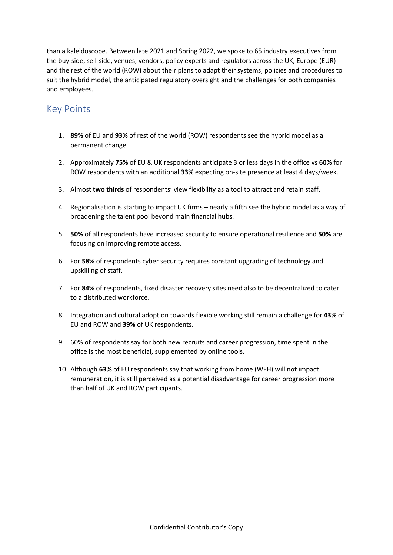than a kaleidoscope. Between late 2021 and Spring 2022, we spoke to 65 industry executives from the buy-side, sell-side, venues, vendors, policy experts and regulators across the UK, Europe (EUR) and the rest of the world (ROW) about their plans to adapt their systems, policies and procedures to suit the hybrid model, the anticipated regulatory oversight and the challenges for both companies and employees.

### Key Points

- 1. **89%** of EU and **93%** of rest of the world (ROW) respondents see the hybrid model as a permanent change.
- 2. Approximately **75%** of EU & UK respondents anticipate 3 or less days in the office vs **60%** for ROW respondents with an additional **33%** expecting on-site presence at least 4 days/week.
- 3. Almost **two thirds** of respondents' view flexibility as a tool to attract and retain staff.
- 4. Regionalisation is starting to impact UK firms nearly a fifth see the hybrid model as a way of broadening the talent pool beyond main financial hubs.
- 5. **50%** of all respondents have increased security to ensure operational resilience and **50%** are focusing on improving remote access.
- 6. For **58%** of respondents cyber security requires constant upgrading of technology and upskilling of staff.
- 7. For **84%** of respondents, fixed disaster recovery sites need also to be decentralized to cater to a distributed workforce.
- 8. Integration and cultural adoption towards flexible working still remain a challenge for **43%** of EU and ROW and **39%** of UK respondents.
- 9. 60% of respondents say for both new recruits and career progression, time spent in the office is the most beneficial, supplemented by online tools.
- 10. Although **63%** of EU respondents say that working from home (WFH) will not impact remuneration, it is still perceived as a potential disadvantage for career progression more than half of UK and ROW participants.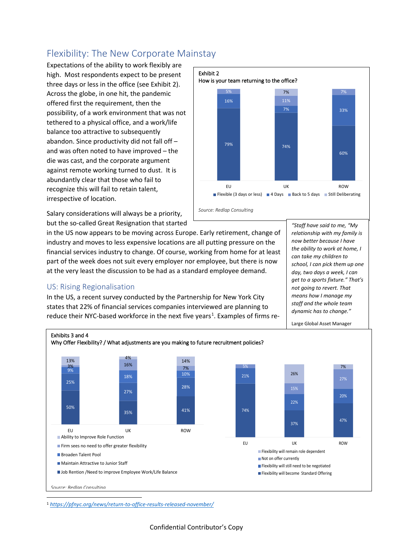# Flexibility: The New Corporate Mainstay

Expectations of the ability to work flexibly are high. Most respondents expect to be present three days or less in the office (see Exhibit 2). Across the globe, in one hit, the pandemic offered first the requirement, then the possibility, of a work environment that was not tethered to a physical office, and a work/life balance too attractive to subsequently abandon. Since productivity did not fall off – and was often noted to have improved – the die was cast, and the corporate argument against remote working turned to dust. It is abundantly clear that those who fail to recognize this will fail to retain talent, irrespective of location.



*"Staff have said to me, "My relationship with my family is now better because I have the ability to work at home, I can take my children to school, I can pick them up one day, two days a week, I can get to a sports fixture." That's not going to revert. That means how I manage my staff and the whole team dynamic has to change."* 

Salary considerations will always be a priority, but the so-called Great Resignation that started

in the US now appears to be moving across Europe. Early retirement, change of industry and moves to less expensive locations are all putting pressure on the financial services industry to change. Of course, working from home for at least part of the week does not suit every employer nor employee, but there is now at the very least the discussion to be had as a standard employee demand.

#### US: Rising Regionalisation

In the US, a recent survey conducted by the Partnership for New York City states that 22% of financial services companies interviewed are planning to reduce their NYC-based workforce in the next five years<sup>[1](#page-3-0)</sup>. Examples of firms re-



<span id="page-3-0"></span><sup>1</sup> *[https://pfnyc.org/news/return-to-office-results-released-november/](about:blank)*

Confidential Contributor's Copy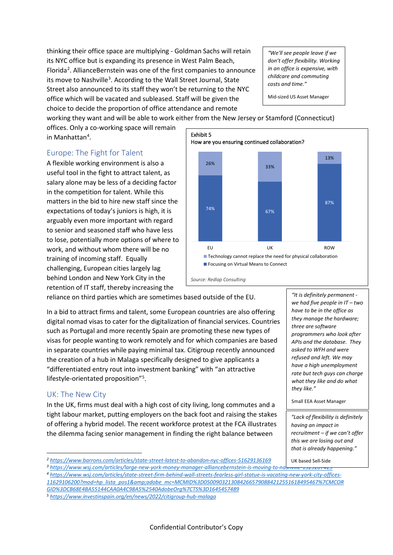thinking their office space are multiplying - Goldman Sachs will retain its NYC office but is expanding its presence in West Palm Beach, Florida<sup>[2](#page-4-0)</sup>. AllianceBernstein was one of the first companies to announce its move to Nashville<sup>[3](#page-4-1)</sup>. According to the Wall Street Journal, State Street also announced to its staff they won't be returning to the NYC office which will be vacated and subleased. Staff will be given the choice to decide the proportion of office attendance and remote

*"We'll see people leave if we don't offer flexibility. Working in an office is expensive, with childcare and commuting costs and time."* 

Mid-sized US Asset Manager

working they want and will be able to work either from the New Jersey or Stamford (Connecticut)

offices. Only a co-working space will remain in Manhattan<sup>[4](#page-4-2)</sup>.

#### Europe: The Fight for Talent

A flexible working environment is also a useful tool in the fight to attract talent, as salary alone may be less of a deciding factor in the competition for talent. While this matters in the bid to hire new staff since the expectations of today's juniors is high, it is arguably even more important with regard to senior and seasoned staff who have less to lose, potentially more options of where to work, and without whom there will be no training of incoming staff. Equally challenging, European cities largely lag behind London and New York City in the retention of IT staff, thereby increasing the



reliance on third parties which are sometimes based outside of the EU.

*Source: Redlap Consulting*

In a bid to attract firms and talent, some European countries are also offering digital nomad visas to cater for the digitalization of financial services. Countries such as Portugal and more recently Spain are promoting these new types of visas for people wanting to work remotely and for which companies are based in separate countries while paying minimal tax. Citigroup recently announced the creation of a hub in Malaga specifically designed to give applicants a "differentiated entry rout into investment banking" with "an attractive lifestyle-orientated proposition"[5](#page-4-3) .

#### UK: The New City

In the UK, firms must deal with a high cost of city living, long commutes and a tight labour market, putting employers on the back foot and raising the stakes of offering a hybrid model. The recent workforce protest at the FCA illustrates the dilemma facing senior management in finding the right balance between

<span id="page-4-0"></span>Phttps://www.barrons.com/articles/state-street-latest-to-abandon-nyc-offices-51629136169<br>Buttps://www.wsj.com/articles/large-new-york-money-manager-alliancebernstein-is-moving-to-nash where 132320142<br>Phttps://www.wsj.com/a *[11629106200?mod=hp\\_lista\\_pos1&adobe\\_mc=MCMID%3D05009032130842665790884212551618495467%7CMCOR](about:blank)*

<span id="page-4-3"></span>*[GID%3DCB68E4BA55144CAA0A4C98A5%2540AdobeOrg%7CTS%3D1645457489](about:blank) 5 <https://www.investinspain.org/en/news/2022/citigroup-hub-malaga>*

*"It is definitely permanent we had five people in IT – two have to be in the office as they manage the hardware; three are software programmers who look after APIs and the database. They asked to WFH and were refused and left. We may have a high unemployment rate but tech guys can charge what they like and do what they like."*

Small EEA Asset Manager

*"Lack of flexibility is definitely having an impact in recruitment – if we can't offer this we are losing out and that is already happening."*

UK based Sell-Side

<span id="page-4-2"></span><span id="page-4-1"></span>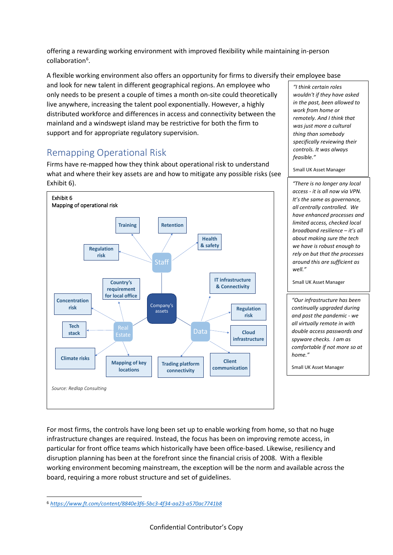offering a rewarding working environment with improved flexibility while maintaining in-person collaboration<sup>[6](#page-5-0)</sup>.

A flexible working environment also offers an opportunity for firms to diversify their employee base

and look for new talent in different geographical regions. An employee who only needs to be present a couple of times a month on-site could theoretically live anywhere, increasing the talent pool exponentially. However, a highly distributed workforce and differences in access and connectivity between the mainland and a windswept island may be restrictive for both the firm to support and for appropriate regulatory supervision.

## Remapping Operational Risk

Firms have re-mapped how they think about operational risk to understand what and where their key assets are and how to mitigate any possible risks (see Exhibit 6).



*"I think certain roles wouldn't if they have asked in the past, been allowed to work from home or remotely. And I think that was just more a cultural thing than somebody specifically reviewing their controls. It was always feasible."*

Small UK Asset Manager

*"There is no longer any local access - it is all now via VPN. It's the same as governance, all centrally controlled. We have enhanced processes and limited access, checked local broadband resilience – it's all about making sure the tech we have is robust enough to rely on but that the processes around this are sufficient as well."*

Small UK Asset Manager

*"Our infrastructure has been continually upgraded during and post the pandemic - we all virtually remote in with double access passwords and spyware checks. I am as comfortable if not more so at home."*

Small UK Asset Manager

For most firms, the controls have long been set up to enable working from home, so that no huge infrastructure changes are required. Instead, the focus has been on improving remote access, in particular for front office teams which historically have been office-based. Likewise, resiliency and disruption planning has been at the forefront since the financial crisis of 2008. With a flexible working environment becoming mainstream, the exception will be the norm and available across the board, requiring a more robust structure and set of guidelines.

<span id="page-5-0"></span><sup>6</sup> *[https://www.ft.com/content/8840e3f6-5bc3-4f34-aa23-a570ac7741b8](about:blank)*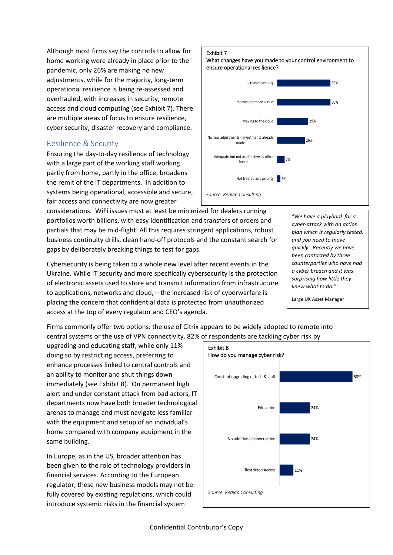Although most firms say the controls to allow for home working were already in place prior to the pandemic, only 26% are making no new adjustments, while for the majority, long-term operational resilience is being re-assessed and overhauled, with increases in security, remote access and cloud computing (see Exhibit 7). There are multiple areas of focus to ensure resilience, cyber security, disaster recovery and compliance.

#### Resilience & Security

Ensuring the day-to-day resilience of technology with a large part of the working staff working partly from home, partly in the office, broadens the remit of the IT departments. In addition to systems being operational, accessible and secure, fair access and connectivity are now greater

considerations. WiFi issues must at least be minimized for dealers running portfolios worth billions, with easy identification and transfers of orders and partials that may be mid-flight. All this requires stringent applications, robust business continuity drills, clean hand-off protocols and the constant search for gaps by deliberately breaking things to test for gaps.

Cybersecurity is being taken to a whole new level after recent events in the Ukraine. While IT security and more specifically cybersecurity is the protection of electronic assets used to store and transmit information from infrastructure to applications, networks and cloud, – the increased risk of cyberwarfare is placing the concern that confidential data is protected from unauthorized access at the top of every regulator and CEO's agenda.

#### *"We have a playbook for a cyber-attack with an action plan which is regularly tested, and you need to move quickly. Recently we have been contacted by three counterparties who have had a cyber breach and it was surprising how little they knew what to do."*

Large UK Asset Manager

Firms commonly offer two options: the use of Citrix appears to be widely adopted to remote into central systems or the use of VPN connectivity. 82% of respondents are tackling cyber risk by

upgrading and educating staff, while only 11% doing so by restricting access, preferring to enhance processes linked to central controls and an ability to monitor and shut things down immediately (see Exhibit 8). On permanent high alert and under constant attack from bad actors, IT departments now have both broader technological arenas to manage and must navigate less familiar with the equipment and setup of an individual's home compared with company equipment in the same building.

In Europe, as in the US, broader attention has been given to the role of technology providers in financial services. According to the European regulator, these new business models may not be fully covered by existing regulations, which could introduce systemic risks in the financial system



## Exhibit 7

What changes have you made to your control environment to ensure operational resilience?

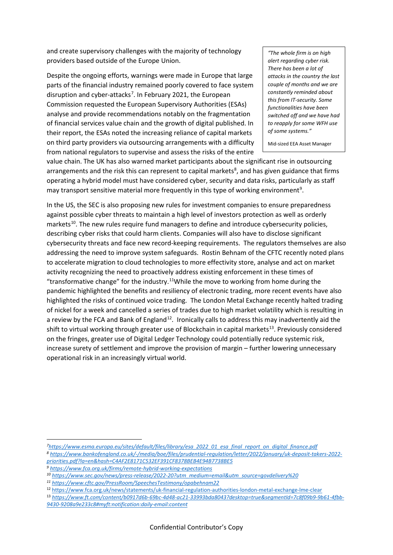and create supervisory challenges with the majority of technology providers based outside of the Europe Union.

Despite the ongoing efforts, warnings were made in Europe that large parts of the financial industry remained poorly covered to face system disruption and cyber-attacks<sup>[7](#page-7-0)</sup>. In February 2021, the European Commission requested the European Supervisory Authorities (ESAs) analyse and provide recommendations notably on the fragmentation of financial services value chain and the growth of digital published. In their report, the ESAs noted the increasing reliance of capital markets on third party providers via outsourcing arrangements with a difficulty from national regulators to supervise and assess the risks of the entire

*"The whole firm is on high alert regarding cyber risk. There has been a lot of attacks in the country the last couple of months and we are constantly reminded about this from IT-security. Some functionalities have been switched off and we have had to reapply for some WFH use of some systems."* 

Mid-sized EEA Asset Manager

value chain. The UK has also warned market participants about the significant rise in outsourcing arrangements and the risk this can represent to capital markets<sup>[8](#page-7-1)</sup>, and has given guidance that firms operating a hybrid model must have considered cyber, security and data risks, particularly as staff may transport sensitive material more frequently in this type of working environment<sup>[9](#page-7-2)</sup>.

In the US, the SEC is also proposing new rules for investment companies to ensure preparedness against possible cyber threats to maintain a high level of investors protection as well as orderly markets<sup>10</sup>. The new rules require fund managers to define and introduce cybersecurity policies, describing cyber risks that could harm clients. Companies will also have to disclose significant cybersecurity threats and face new record-keeping requirements. The regulators themselves are also addressing the need to improve system safeguards. Rostin Behnam of the CFTC recently noted plans to accelerate migration to cloud technologies to more effectivity store, analyse and act on market activity recognizing the need to proactively address existing enforcement in these times of "transformative change" for the industry.<sup>11</sup>While the move to working from home during the pandemic highlighted the benefits and resiliency of electronic trading, more recent events have also highlighted the risks of continued voice trading. The London Metal Exchange recently halted trading of nickel for a week and cancelled a series of trades due to high market volatility which is resulting in a review by the FCA and Bank of England<sup>[12](#page-7-5)</sup>. Ironically calls to address this may inadvertently aid the shift to virtual working through greater use of Blockchain in capital markets<sup>13</sup>. Previously considered on the fringes, greater use of Digital Ledger Technology could potentially reduce systemic risk, increase surety of settlement and improve the provision of margin – further lowering unnecessary operational risk in an increasingly virtual world.

<span id="page-7-0"></span><sup>&</sup>lt;sup>7</sup>https://www.esma.europa.eu/sites/default/files/library/esa 2022 01 esa final report on digital finance.pdf<br><sup>8</sup>https://www.bankofengland.co.uk/-/media/boe/files/prudential-regulation/letter/2022/january/uk-deposit-takers

<span id="page-7-1"></span>*[priorities.pdf?la=en&hash=C4AF2E8171C532EF391CF8378BEB4E94B7738BE5](about:blank) 9 [https://www.fca.org.uk/firms/remote-hybrid-working-expectations](about:blank)*

<span id="page-7-3"></span><span id="page-7-2"></span>*<sup>10</sup> [https://www.sec.gov/news/press-release/2022-20?utm\\_medium=email&utm\\_source=govdelivery%20](about:blank)*

<span id="page-7-4"></span>*<sup>11</sup> <https://www.cftc.gov/PressRoom/SpeechesTestimony/opabehnam22>*

<span id="page-7-5"></span><sup>12</sup> <https://www.fca.org.uk/news/statements/uk-financial-regulation-authorities-london-metal-exchange-lme-clear>

<span id="page-7-6"></span><sup>13</sup> *[https://www.ft.com/content/b0917d6b-69bc-4d48-ac21-33993bda8043?desktop=true&segmentId=7c8f09b9-9b61-4fbb-](https://www.ft.com/content/b0917d6b-69bc-4d48-ac21-33993bda8043?desktop=true&segmentId=7c8f09b9-9b61-4fbb-9430-9208a9e233c8#myft:notification:daily-email:content)*

*[<sup>9430-9208</sup>a9e233c8#myft:notification:daily-email:content](https://www.ft.com/content/b0917d6b-69bc-4d48-ac21-33993bda8043?desktop=true&segmentId=7c8f09b9-9b61-4fbb-9430-9208a9e233c8#myft:notification:daily-email:content)*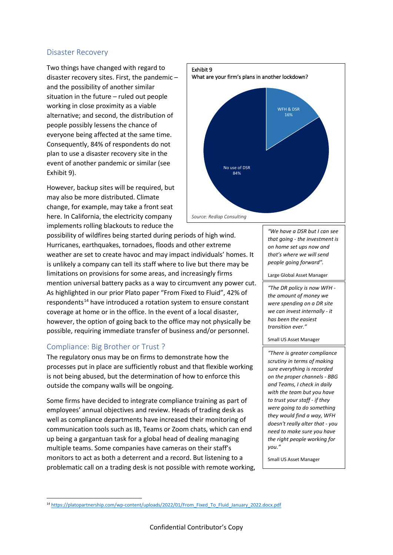#### Disaster Recovery

Two things have changed with regard to disaster recovery sites. First, the pandemic – and the possibility of another similar situation in the future – ruled out people working in close proximity as a viable alternative; and second, the distribution of people possibly lessens the chance of everyone being affected at the same time. Consequently, 84% of respondents do not plan to use a disaster recovery site in the event of another pandemic or similar (see Exhibit 9).

However, backup sites will be required, but may also be more distributed. Climate change, for example, may take a front seat here. In California, the electricity company implements rolling blackouts to reduce the

possibility of wildfires being started during periods of high wind. Hurricanes, earthquakes, tornadoes, floods and other extreme weather are set to create havoc and may impact individuals' homes. It is unlikely a company can tell its staff where to live but there may be limitations on provisions for some areas, and increasingly firms mention universal battery packs as a way to circumvent any power cut. As highlighted in our prior Plato paper "From Fixed to Fluid", 42% of respondents<sup>[14](#page-8-0)</sup> have introduced a rotation system to ensure constant coverage at home or in the office. In the event of a local disaster, however, the option of going back to the office may not physically be possible, requiring immediate transfer of business and/or personnel.

#### Compliance: Big Brother or Trust ?

The regulatory onus may be on firms to demonstrate how the processes put in place are sufficiently robust and that flexible working is not being abused, but the determination of how to enforce this outside the company walls will be ongoing.

Some firms have decided to integrate compliance training as part of employees' annual objectives and review. Heads of trading desk as well as compliance departments have increased their monitoring of communication tools such as IB, Teams or Zoom chats, which can end up being a gargantuan task for a global head of dealing managing multiple teams. Some companies have cameras on their staff's monitors to act as both a deterrent and a record. But listening to a problematic call on a trading desk is not possible with remote working,



*"We have a DSR but I can see that going - the investment is on home set ups now and that's where we will send people going forward".*

Large Global Asset Manager

*"The DR policy is now WFH the amount of money we were spending on a DR site we can invest internally - it has been the easiest transition ever."*

Small US Asset Manager

*"There is greater compliance scrutiny in terms of making sure everything is recorded on the proper channels - BBG and Teams, I check in daily with the team but you have to trust your staff - if they were going to do something they would find a way, WFH doesn't really alter that - you need to make sure you have the right people working for you."*

Small US Asset Manager

<span id="page-8-0"></span><sup>14</sup> https://platopartnership.com/wp-content/uploads/2022/01/From\_Fixed\_To\_Fluid\_January\_2022.docx.pdf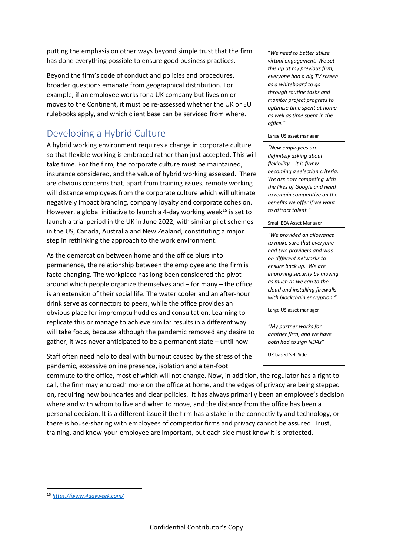putting the emphasis on other ways beyond simple trust that the firm has done everything possible to ensure good business practices.

Beyond the firm's code of conduct and policies and procedures, broader questions emanate from geographical distribution. For example, if an employee works for a UK company but lives on or moves to the Continent, it must be re-assessed whether the UK or EU rulebooks apply, and which client base can be serviced from where.

# Developing a Hybrid Culture

A hybrid working environment requires a change in corporate culture so that flexible working is embraced rather than just accepted. This will take time. For the firm, the corporate culture must be maintained, insurance considered, and the value of hybrid working assessed. There are obvious concerns that, apart from training issues, remote working will distance employees from the corporate culture which will ultimate negatively impact branding, company loyalty and corporate cohesion. However, a global initiative to launch a 4-day working week<sup>[15](#page-9-0)</sup> is set to launch a trial period in the UK in June 2022, with similar pilot schemes in the US, Canada, Australia and New Zealand, constituting a major step in rethinking the approach to the work environment.

As the demarcation between home and the office blurs into permanence, the relationship between the employee and the firm is facto changing. The workplace has long been considered the pivot around which people organize themselves and – for many – the office is an extension of their social life. The water cooler and an after-hour drink serve as connectors to peers, while the office provides an obvious place for impromptu huddles and consultation. Learning to replicate this or manage to achieve similar results in a different way will take focus, because although the pandemic removed any desire to gather, it was never anticipated to be a permanent state – until now.

Staff often need help to deal with burnout caused by the stress of the pandemic, excessive online presence, isolation and a ten-foot

"*We need to better utilise virtual engagement. We set this up at my previous firm; everyone had a big TV screen as a whiteboard to go through routine tasks and monitor project progress to optimise time spent at home as well as time spent in the office."* 

#### Large US asset manager

*"New employees are definitely asking about flexibility – it is firmly becoming a selection criteria. We are now competing with the likes of Google and need to remain competitive on the benefits we offer if we want to attract talent."* 

Small EEA Asset Manager

*"We provided an allowance to make sure that everyone had two providers and was on different networks to ensure back up. We are improving security by moving as much as we can to the cloud and installing firewalls with blockchain encryption."* 

Large US asset manager

*"My partner works for another firm, and we have both had to sign NDAs"*

UK based Sell Side

commute to the office, most of which will not change. Now, in addition, the regulator has a right to call, the firm may encroach more on the office at home, and the edges of privacy are being stepped on, requiring new boundaries and clear policies. It has always primarily been an employee's decision where and with whom to live and when to move, and the distance from the office has been a personal decision. It is a different issue if the firm has a stake in the connectivity and technology, or there is house-sharing with employees of competitor firms and privacy cannot be assured. Trust, training, and know-your-employee are important, but each side must know it is protected.

<span id="page-9-0"></span><sup>15</sup> *[https://www.4dayweek.com/](about:blank)*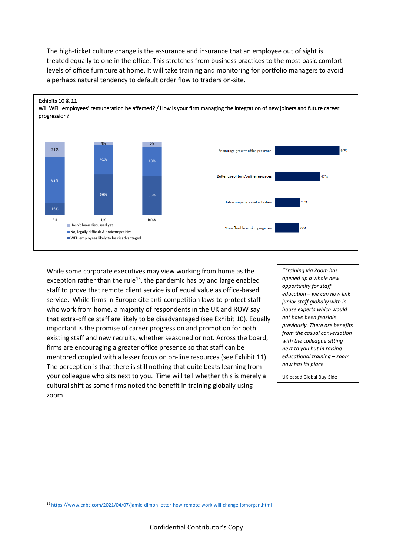



While some corporate executives may view working from home as the exception rather than the rule<sup>[16](#page-10-0)</sup>, the pandemic has by and large enabled staff to prove that remote client service is of equal value as office-based service. While firms in Europe cite anti-competition laws to protect staff who work from home, a majority of respondents in the UK and ROW say that extra-office staff are likely to be disadvantaged (see Exhibit 10). Equally important is the promise of career progression and promotion for both existing staff and new recruits, whether seasoned or not. Across the board, firms are encouraging a greater office presence so that staff can be mentored coupled with a lesser focus on on-line resources (see Exhibit 11). The perception is that there is still nothing that quite beats learning from your colleague who sits next to you. Time will tell whether this is merely a cultural shift as some firms noted the benefit in training globally using zoom.

*"Training via Zoom has opened up a whole new opportunity for staff education – we can now link junior staff globally with inhouse experts which would not have been feasible previously. There are benefits from the casual conversation with the colleague sitting next to you but in raising educational training – zoom now has its place*

UK based Global Buy-Side

<span id="page-10-0"></span><sup>16</sup> [https://www.cnbc.com/2021/04/07/jamie-dimon-letter-how-remote-work-will-change-jpmorgan.html](about:blank)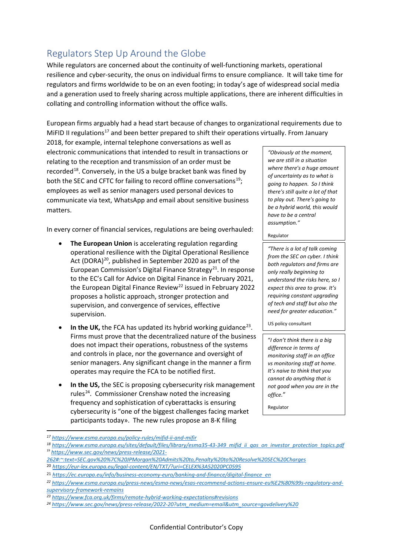# Regulators Step Up Around the Globe

While regulators are concerned about the continuity of well-functioning markets, operational resilience and cyber-security, the onus on individual firms to ensure compliance. It will take time for regulators and firms worldwide to be on an even footing; in today's age of widespread social media and a generation used to freely sharing across multiple applications, there are inherent difficulties in collating and controlling information without the office walls.

European firms arguably had a head start because of changes to organizational requirements due to MiFID II regulations<sup>[17](#page-11-0)</sup> and been better prepared to shift their operations virtually. From January

2018, for example, internal telephone conversations as well as electronic communications that intended to result in transactions or relating to the reception and transmission of an order must be recorded<sup>18</sup>. Conversely, in the US a bulge bracket bank was fined by both the SEC and CFTC for failing to record offline conversations<sup>[19](#page-11-2)</sup>; employees as well as senior managers used personal devices to communicate via text, WhatsApp and email about sensitive business matters.

In every corner of financial services, regulations are being overhauled:

- **The European Union** is accelerating regulation regarding operational resilience with the Digital Operational Resilience Act (DORA)<sup>20</sup>, published in September 2020 as part of the European Commission's Digital Finance Strategy<sup>[21](#page-11-4)</sup>. In response to the EC's Call for Advice on Digital Finance in February 2021, the European Digital Finance Review<sup>22</sup> issued in February 2022 proposes a holistic approach, stronger protection and supervision, and convergence of services, effective supervision.
- **In the UK,** the FCA has updated its hybrid working guidance<sup>[23](#page-11-6)</sup>. Firms must prove that the decentralized nature of the business does not impact their operations, robustness of the systems and controls in place, nor the governance and oversight of senior managers. Any significant change in the manner a firm operates may require the FCA to be notified first.
- **In the US,** the SEC is proposing cybersecurity risk management rules<sup>[24](#page-11-7)</sup>. Commissioner Crenshaw noted the increasing frequency and sophistication of cyberattacks is ensuring cybersecurity is "one of the biggest challenges facing market participants today». The new rules propose an 8-K filing

*"Obviously at the moment, we are still in a situation where there's a huge amount of uncertainty as to what is going to happen. So I think there's still quite a lot of that to play out. There's going to be a hybrid world, this would have to be a central assumption."*

#### Regulator

*"There is a lot of talk coming from the SEC on cyber. I think both regulators and firms are only really beginning to understand the risks here, so I expect this area to grow. It's requiring constant upgrading of tech and staff but also the need for greater education."*

US policy consultant

"*I don't think there is a big difference in terms of monitoring staff in an office vs monitoring staff at home. It's naive to think that you cannot do anything that is not good when you are in the office.*"

Regulator

<span id="page-11-0"></span>*<sup>17</sup> [https://www.esma.europa.eu/policy-rules/mifid-ii-and-mifir](about:blank)*

<span id="page-11-2"></span><span id="page-11-1"></span>*<sup>18</sup> [https://www.esma.europa.eu/sites/default/files/library/esma35-43-349\\_mifid\\_ii\\_qas\\_on\\_investor\\_protection\\_topics.pdf](about:blank)* <sup>19</sup> *[https://www.sec.gov/news/press-release/2021-](about:blank#:%7E:text=SEC.gov%20%7C%20JPMorgan%20Admits%20to,Penalty%20to%20Resolve%20SEC%20Charges)*

*[<sup>262#:~:</sup>text=SEC.gov%20%7C%20JPMorgan%20Admits%20to,Penalty%20to%20Resolve%20SEC%20Charges](about:blank#:%7E:text=SEC.gov%20%7C%20JPMorgan%20Admits%20to,Penalty%20to%20Resolve%20SEC%20Charges)* 

<span id="page-11-3"></span><sup>20</sup> *[https://eur-lex.europa.eu/legal-content/EN/TXT/?uri=CELEX%3A52020PC0595](about:blank)*

<span id="page-11-4"></span><sup>21</sup> *[https://ec.europa.eu/info/business-economy-euro/banking-and-finance/digital-finance\\_en](about:blank)*

<span id="page-11-5"></span>*<sup>22</sup> [https://www.esma.europa.eu/press-news/esma-news/esas-recommend-actions-ensure-eu%E2%80%99s-regulatory-and](about:blank)[supervisory-framework-remains](about:blank)*

<span id="page-11-7"></span><span id="page-11-6"></span>*<sup>23</sup> [https://www.fca.org.uk/firms/remote-hybrid-working-expectations#revisions](about:blank) 24 [https://www.sec.gov/news/press-release/2022-20?utm\\_medium=email&utm\\_source=govdelivery%20](about:blank)*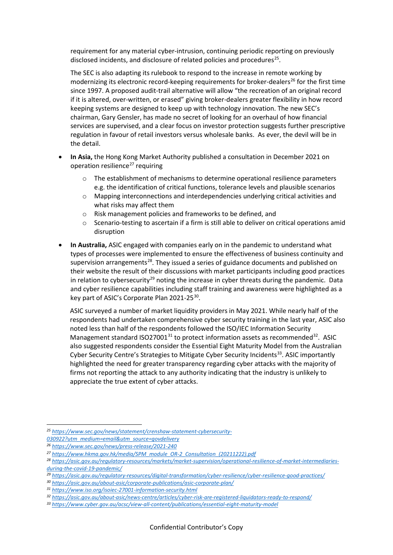requirement for any material cyber-intrusion, continuing periodic reporting on previously disclosed incidents, and disclosure of related policies and procedures<sup>25</sup>.

The SEC is also adapting its rulebook to respond to the increase in remote working by modernizing its electronic record-keeping requirements for broker-dealers<sup>26</sup> for the first time since 1997. A proposed audit-trail alternative will allow "the recreation of an original record if it is altered, over-written, or erased" giving broker-dealers greater flexibility in how record keeping systems are designed to keep up with technology innovation. The new SEC's chairman, Gary Gensler, has made no secret of looking for an overhaul of how financial services are supervised, and a clear focus on investor protection suggests further prescriptive regulation in favour of retail investors versus wholesale banks. As ever, the devil will be in the detail.

- **In Asia,** the Hong Kong Market Authority published a consultation in December 2021 on operation resilience<sup>[27](#page-12-2)</sup> requiring
	- $\circ$  The establishment of mechanisms to determine operational resilience parameters e.g. the identification of critical functions, tolerance levels and plausible scenarios
	- o Mapping interconnections and interdependencies underlying critical activities and what risks may affect them
	- o Risk management policies and frameworks to be defined, and
	- $\circ$  Scenario-testing to ascertain if a firm is still able to deliver on critical operations amid disruption
- **In Australia,** ASIC engaged with companies early on in the pandemic to understand what types of processes were implemented to ensure the effectiveness of business continuity and supervision arrangements<sup>28</sup>. They issued a series of guidance documents and published on their website the result of their discussions with market participants including good practices in relation to cybersecurity<sup>[29](#page-12-4)</sup> noting the increase in cyber threats during the pandemic. Data and cyber resilience capabilities including staff training and awareness were highlighted as a key part of ASIC's Corporate Plan 2021-25<sup>30</sup>.

ASIC surveyed a number of market liquidity providers in May 2021. While nearly half of the respondents had undertaken comprehensive cyber security training in the last year, ASIC also noted less than half of the respondents followed the ISO/IEC Information Security Management standard  $ISO27001^{31}$  $ISO27001^{31}$  $ISO27001^{31}$  to protect information assets as recommended<sup>32</sup>. ASIC also suggested respondents consider the Essential Eight Maturity Model from the Australian Cyber Security Centre's Strategies to Mitigate Cyber Security Incidents<sup>[33](#page-12-8)</sup>. ASIC importantly highlighted the need for greater transparency regarding cyber attacks with the majority of firms not reporting the attack to any authority indicating that the industry is unlikely to appreciate the true extent of cyber attacks.

<span id="page-12-0"></span>*<sup>25</sup> [https://www.sec.gov/news/statement/crenshaw-statement-cybersecurity-](https://www.sec.gov/news/statement/crenshaw-statement-cybersecurity-030922?utm_medium=email&utm_source=govdelivery)*

*[<sup>030922?</sup>utm\\_medium=email&utm\\_source=govdelivery](https://www.sec.gov/news/statement/crenshaw-statement-cybersecurity-030922?utm_medium=email&utm_source=govdelivery)*

<span id="page-12-3"></span>

<span id="page-12-2"></span><span id="page-12-1"></span><sup>&</sup>lt;sup>26</sup> https://www.sec.gov/news/press-release/2021-240<br><sup>27</sup> https://www.hkma.gov.hk/media/SPM\_module\_OR-2\_Consultation\_(20211222).pdf<br><sup>28</sup> https://asic.gov.au/regulatory-resources/markets/market-supervision/operational-resil *[during-the-covid-19-pandemic/](https://asic.gov.au/regulatory-resources/markets/market-supervision/operational-resilience-of-market-intermediaries-during-the-covid-19-pandemic/)*

<span id="page-12-4"></span>*<sup>29</sup> <https://asic.gov.au/regulatory-resources/digital-transformation/cyber-resilience/cyber-resilience-good-practices/>*

<span id="page-12-5"></span>*<sup>30</sup> <https://asic.gov.au/about-asic/corporate-publications/asic-corporate-plan/>*

<span id="page-12-6"></span>*<sup>31</sup> <https://www.iso.org/isoiec-27001-information-security.html>*

<span id="page-12-7"></span>*<sup>32</sup> <https://asic.gov.au/about-asic/news-centre/articles/cyber-risk-are-registered-liquidators-ready-to-respond/>*

<span id="page-12-8"></span>*<sup>33</sup> <https://www.cyber.gov.au/acsc/view-all-content/publications/essential-eight-maturity-model>*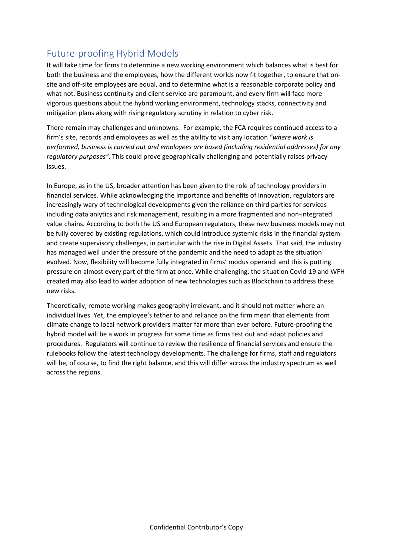# Future-proofing Hybrid Models

It will take time for firms to determine a new working environment which balances what is best for both the business and the employees, how the different worlds now fit together, to ensure that onsite and off-site employees are equal, and to determine what is a reasonable corporate policy and what not. Business continuity and client service are paramount, and every firm will face more vigorous questions about the hybrid working environment, technology stacks, connectivity and mitigation plans along with rising regulatory scrutiny in relation to cyber risk.

There remain may challenges and unknowns. For example, the FCA requires continued access to a firm's site, records and employees as well as the ability to visit any location *"where work is performed, business is carried out and employees are based (including residential addresses) for any regulatory purposes"*. This could prove geographically challenging and potentially raises privacy issues.

In Europe, as in the US, broader attention has been given to the role of technology providers in financial services. While acknowledging the importance and benefits of innovation, regulators are increasingly wary of technological developments given the reliance on third parties for services including data anlytics and risk management, resulting in a more fragmented and non-integrated value chains. According to both the US and European regulators, these new business models may not be fully covered by existing regulations, which could introduce systemic risks in the financial system and create supervisory challenges, in particular with the rise in Digital Assets. That said, the industry has managed well under the pressure of the pandemic and the need to adapt as the situation evolved. Now, flexibility will become fully integrated in firms' modus operandi and this is putting pressure on almost every part of the firm at once. While challenging, the situation Covid-19 and WFH created may also lead to wider adoption of new technologies such as Blockchain to address these new risks.

Theoretically, remote working makes geography irrelevant, and it should not matter where an individual lives. Yet, the employee's tether to and reliance on the firm mean that elements from climate change to local network providers matter far more than ever before. Future-proofing the hybrid model will be a work in progress for some time as firms test out and adapt policies and procedures. Regulators will continue to review the resilience of financial services and ensure the rulebooks follow the latest technology developments. The challenge for firms, staff and regulators will be, of course, to find the right balance, and this will differ across the industry spectrum as well across the regions.